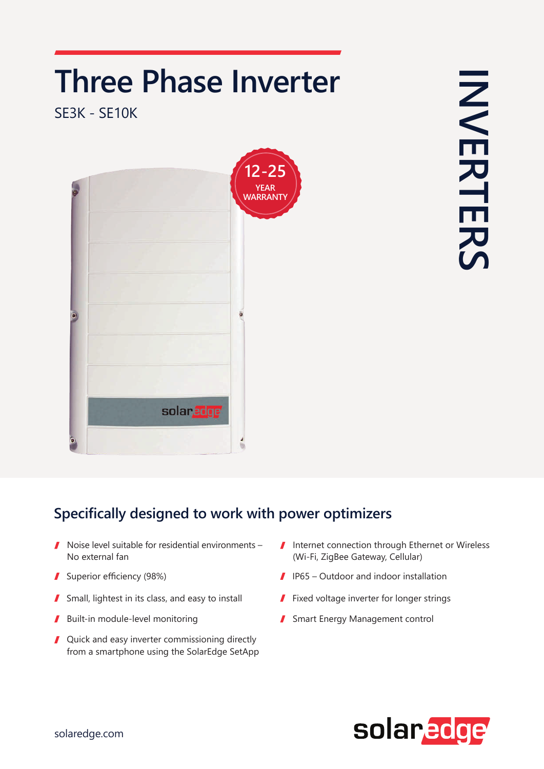## **Three Phase Inverter**

**SE3K - SE10K** 



**INVERTERS NERTERS** 

## **Specifically designed to work with power optimizers**

- $\blacksquare$  Noise level suitable for residential environments -No external fan
- 
- Small, lightest in its class, and easy to install **Fixed voltage inverter for longer strings**  $\mathbf{r}$
- Built-in module-level monitoring I
- $\blacksquare$  Quick and easy inverter commissioning directly from a smartphone using the SolarEdge SetApp
- $\blacksquare$  Internet connection through Ethernet or Wireless (Wi-Fi, ZigBee Gateway, Cellular)
- Superior efficiency (98%) (98%) (98%) (98%) (98%) (98%) (98%) (98%) (98%) (98%) (98%) (98%) (98%) (98%) (98%)
	-
	- Smart Energy Management control  $\mathbf{r}$